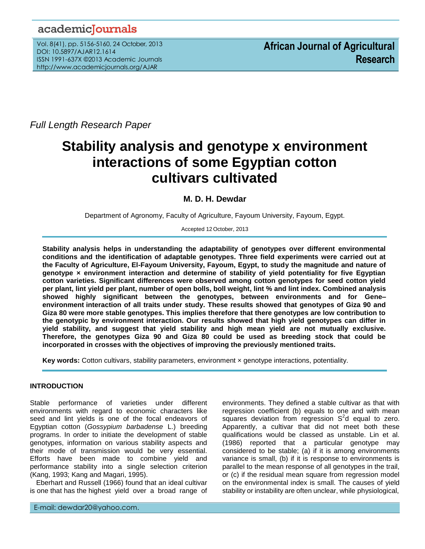## academicJournals

Vol. 8(41), pp. 5156-5160, 24 October, 2013 DOI: 10.5897/AJAR12.1614 ISSN 1991-637X ©2013 Academic Journals http://www.academicjournals.org/AJAR

*Full Length Research Paper*

# **Stability analysis and genotype x environment interactions of some Egyptian cotton cultivars cultivated**

### **M. D. H. Dewdar**

Department of Agronomy, Faculty of Agriculture, Fayoum University, Fayoum, Egypt.

Accepted 12 October, 2013

**Stability analysis helps in understanding the adaptability of genotypes over different environmental conditions and the identification of adaptable genotypes. Three field experiments were carried out at the Faculty of Agriculture, El-Fayoum University, Fayoum, Egypt, to study the magnitude and nature of genotype × environment interaction and determine of stability of yield potentiality for five Egyptian cotton varieties. Significant differences were observed among cotton genotypes for seed cotton yield per plant, lint yield per plant, number of open bolls, boll weight, lint % and lint index. Combined analysis showed highly significant between the genotypes, between environments and for Gene– environment interaction of all traits under study. These results showed that genotypes of Giza 90 and Giza 80 were more stable genotypes. This implies therefore that there genotypes are low contribution to the genotypic by environment interaction. Our results showed that high yield genotypes can differ in yield stability, and suggest that yield stability and high mean yield are not mutually exclusive. Therefore, the genotypes Giza 90 and Giza 80 could be used as breeding stock that could be incorporated in crosses with the objectives of improving the previously mentioned traits.** 

**Key words:** Cotton cultivars, stability parameters, environment × genotype interactions, potentiality.

#### **INTRODUCTION**

...*.*

Stable performance of varieties under different environments with regard to economic characters like seed and lint yields is one of the focal endeavors of Egyptian cotton (*Gossypium barbadense* L.) breeding programs. In order to initiate the development of stable genotypes, information on various stability aspects and their mode of transmission would be very essential. Efforts have been made to combine yield and performance stability into a single selection criterion (Kang, 1993; Kang and Magari, 1995).

Eberhart and Russell (1966) found that an ideal cultivar is one that has the highest yield over a broad range of

environments. They defined a stable cultivar as that with regression coefficient (b) equals to one and with mean squares deviation from regression  $S^2$ d equal to zero. Apparently, a cultivar that did not meet both these qualifications would be classed as unstable. Lin et al. (1986) reported that a particular genotype may considered to be stable; (a) if it is among environments variance is small, (b) if it is response to environments is parallel to the mean response of all genotypes in the trail, or (c) if the residual mean square from regression model on the environmental index is small. The causes of yield stability or instability are often unclear, while physiological,

E-mail: dewdar20@yahoo.com.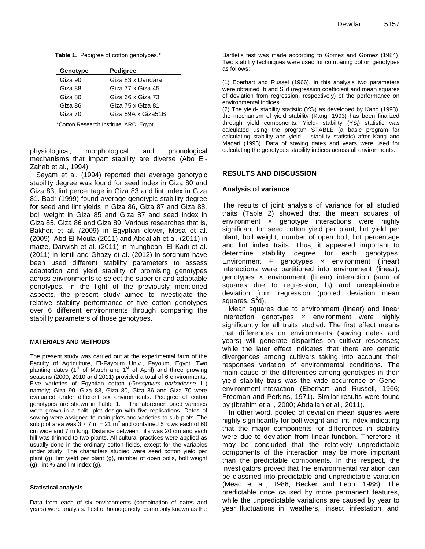| Pedigree           |
|--------------------|
| Giza 83 x Dandara  |
| Giza 77 x Giza 45  |
| Giza 66 x Giza 73  |
| Giza 75 x Giza 81  |
| Giza 59A x Giza51B |
|                    |

\*Cotton Research Institute, ARC, Egypt.

physiological, morphological and phonological mechanisms that impart stability are diverse (Abo El-Zahab et al., 1994).

Seyam et al. (1994) reported that average genotypic stability degree was found for seed index in Giza 80 and Giza 83, lint percentage in Giza 83 and lint index in Giza 81. Badr (1999) found average genotypic stability degree for seed and lint yields in Giza 86, Giza 87 and Giza 88, boll weight in Giza 85 and Giza 87 and seed index in Giza 85, Giza 86 and Giza 89. Various researches that is, Bakheit et al. *(*2009) in Egyptian clover, Mosa et al. (2009), Abd El-Moula (2011) and Abdallah et al. (2011) in maize, Darwish et al. (2011) in mungbean, El-Kadi et al. (2011) in lentil and Ghazy et al. (2012) in sorghum have been used different stability parameters to assess adaptation and yield stability of promising genotypes across environments to select the superior and adaptable genotypes. In the light of the previously mentioned aspects, the present study aimed to investigate the relative stability performance of five cotton genotypes over 6 different environments through comparing the stability parameters of those genotypes.

#### **MATERIALS AND METHODS**

The present study was carried out at the experimental farm of the Faculty of Agriculture, El-Fayoum Univ., Fayoum, Egypt. Two planting dates ( $1<sup>st</sup>$  of March and  $1<sup>st</sup>$  of April) and three growing seasons (2009, 2010 and 2011) provided a total of 6 environments. Five varieties of Egyptian cotton (*Gossypium barbadense* L.) namely; Giza 90, Giza 88, Giza 80, Giza 86 and Giza 70 were evaluated under different six environments. Pedigree of cotton genotypes are shown in Table 1. The aforementioned varieties were grown in a split- plot design with five replications. Dates of sowing were assigned to main plots and varieties to sub-plots. The sub plot area was  $3 \times 7$  m = 21 m<sup>2</sup> and contained 5 rows each of 60 cm wide and 7 m long. Distance between hills was 20 cm and each hill was thinned to two plants. All cultural practices were applied as usually done in the ordinary cotton fields, except for the variables under study. The characters studied were seed cotton yield per plant (g), lint yield per plant (g), number of open bolls, boll weight  $(g)$ , lint % and lint index  $(g)$ .

#### **Statistical analysis**

Data from each of six environments (combination of dates and years) were analysis. Test of homogeneity, commonly known as the

Bartlet's test was made according to Gomez and Gomez (1984). Two stability techniques were used for comparing cotton genotypes as follows:

(1) Eberhart and Russel (1966), in this analysis two parameters were obtained, b and  $S<sup>2</sup>d$  (regression coefficient and mean squares of deviation from regression, respectively) of the performance on environmental indices.

(2) The yield- stability statistic (YSi) as developed by Kang (1993), the mechanism of yield stability (Kang, 1993) has been finalized through yield components. Yield- stability (YS;) statistic was calculated using the program STABLE (a basic program for calculating stability and yield – stability statistic) after Kang and Magari (1995). Data of sowing dates and years were used for calculating the genotypes stability indices across all environments.

#### **RESULTS AND DISCUSSION**

#### **Analysis of variance**

The results of joint analysis of variance for all studied traits (Table 2) showed that the mean squares of environment  $\times$  genotype interactions were highly significant for seed cotton yield per plant, lint yield per plant, boll weight, number of open boll, lint percentage and lint index traits. Thus, it appeared important to determine stability degree for each genotypes. Environment + genotypes  $\times$  environment (linear) interactions were partitioned into environment (linear), genotypes × environment (linear) interaction (sum of squares due to regression,  $b_i$ ) and unexplainable deviation from regression (pooled deviation mean squares,  $S^2$ d).

Mean squares due to environment (linear) and linear interaction genotypes × environment were highly significantly for all traits studied. The first effect means that differences on environments (sowing dates and years) will generate disparities on cultivar responses; while the later effect indicates that there are genetic divergences among cultivars taking into account their responses variation of environmental conditions. The main cause of the differences among genotypes in their yield stability trails was the wide occurrence of Gene– environment interaction (Eberhart and Russell, 1966; Freeman and Perkins, 1971). Similar results were found by (Ibrahim et al., 2000; Abdallah et al., 2011).

In other word, pooled of deviation mean squares were highly significantly for boll weight and lint index indicating that the major components for differences in stability were due to deviation from linear function. Therefore, it may be concluded that the relatively unpredictable components of the interaction may be more important than the predictable components. In this respect, the investigators proved that the environmental variation can be classified into predictable and unpredictable variation (Mead et al., 1986; Becker and Leon, 1988). The predictable once caused by more permanent features, while the unpredictable variations are caused by year to year fluctuations in weathers, insect infestation and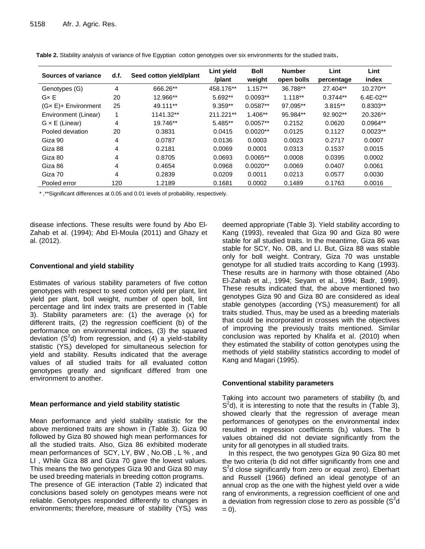| Sources of variance          | d.f. | Seed cotton yield/plant | Lint yield<br>/plant | <b>Boll</b><br>weight | <b>Number</b><br>open bolls | Lint<br>percentage | Lint<br>index |
|------------------------------|------|-------------------------|----------------------|-----------------------|-----------------------------|--------------------|---------------|
| Genotypes (G)                | 4    | 666.26**                | 458.176**            | $1.157**$             | 36.788**                    | 27.404**           | $10.270**$    |
| $G \times E$                 | 20   | 12.966**                | 5.692**              | $0.0093**$            | $1.118**$                   | $0.3744**$         | $6.4E-02**$   |
| $(G \times E)$ + Environment | 25   | 49.111**                | $9.359**$            | $0.0587**$            | 97.095**                    | 3.815**            | $0.8303**$    |
| Environment (Linear)         | 1    | 1141.32**               | 211.221**            | $1.406**$             | 95.984**                    | 92.902**           | 20.326**      |
| $G \times E$ (Linear)        | 4    | 19.746**                | $5.485**$            | $0.0057**$            | 0.2152                      | 0.0620             | $0.0964**$    |
| Pooled deviation             | 20   | 0.3831                  | 0.0415               | $0.0020**$            | 0.0125                      | 0.1127             | $0.0023**$    |
| Giza 90                      | 4    | 0.0787                  | 0.0136               | 0.0003                | 0.0023                      | 0.2717             | 0.0007        |
| Giza 88                      | 4    | 0.2181                  | 0.0069               | 0.0001                | 0.0313                      | 0.1537             | 0.0015        |
| Giza 80                      | 4    | 0.8705                  | 0.0693               | $0.0065**$            | 0.0008                      | 0.0395             | 0.0002        |
| Giza 86                      | 4    | 0.4654                  | 0.0968               | $0.0020**$            | 0.0069                      | 0.0407             | 0.0061        |
| Giza 70                      | 4    | 0.2839                  | 0.0209               | 0.0011                | 0.0213                      | 0.0577             | 0.0030        |
| Pooled error                 | 120  | 1.2189                  | 0.1681               | 0.0002                | 0.1489                      | 0.1763             | 0.0016        |

**Table 2.** Stability analysis of variance of five Egyptian cotton genotypes over six environments for the studied traits**.** 

\* ,\*\*Significant differences at 0.05 and 0.01 levels of probability, respectively.

disease infections. These results were found by Abo El-Zahab et al. (1994); Abd El-Moula (2011) and Ghazy et al. (2012).

#### **Conventional and yield stability**

Estimates of various stability parameters of five cotton genotypes with respect to seed cotton yield per plant, lint yield per plant, boll weight, number of open boll, lint percentage and lint index traits are presented in (Table 3). Stability parameters are: (1) the average (x) for different traits, (2) the regression coefficient (b) of the performance on environmental indices, (3) the squared deviation (S<sup>2</sup>d) from regression, and (4) a yield-stability statistic (YS<sub>i</sub>) developed for simultaneous selection for yield and stability. Results indicated that the average values of all studied traits for all evaluated cotton genotypes greatly and significant differed from one environment to another.

#### **Mean performance and yield stability statistic**

Mean performance and yield stability statistic for the above mentioned traits are shown in (Table 3). Giza 90 followed by Giza 80 showed high mean performances for all the studied traits. Also, Giza 86 exhibited moderate mean performances of SCY, LY, BW , No.OB , L % , and LI , While Giza 88 and Giza 70 gave the lowest values. This means the two genotypes Giza 90 and Giza 80 may be used breeding materials in breeding cotton programs. The presence of GE interaction (Table 2) indicated that conclusions based solely on genotypes means were not reliable. Genotypes responded differently to changes in environments; therefore, measure of stability  $(YS<sub>i</sub>)$  was deemed appropriate (Table 3). Yield stability according to Kang (1993), revealed that Giza 90 and Giza 80 were stable for all studied traits. In the meantime, Giza 86 was stable for SCY, No. OB, and LI. But, Giza 88 was stable only for boll weight. Contrary, Giza 70 was unstable genotype for all studied traits according to Kang (1993). These results are in harmony with those obtained (Abo El-Zahab et al., 1994; Seyam et al., 1994; Badr, 1999). These results indicated that, the above mentioned two genotypes Giza 90 and Giza 80 are considered as ideal stable genotypes (according (YS<sub>i</sub>) measurement) for all traits studied. Thus, may be used as a breeding materials that could be incorporated in crosses with the objectives of improving the previously traits mentioned. Similar conclusion was reported by Khalifa et al. (2010) when they estimated the stability of cotton genotypes using the methods of yield stability statistics according to model of Kang and Magari (1995).

#### **Conventional stability parameters**

Taking into account two parameters of stability ( $b_i$  and  $S<sup>2</sup>d$ , it is interesting to note that the results in (Table 3), showed clearly that the regression of average mean performances of genotypes on the environmental index resulted in regression coefficients (b<sub>i</sub>) values. The b values obtained did not deviate significantly from the unity for all genotypes in all studied traits.

In this respect, the two genotypes Giza 90 Giza 80 met the two criteria (b did not differ significantly from one and S<sup>2</sup>d close significantly from zero or equal zero). Eberhart and Russell (1966) defined an ideal genotype of an annual crop as the one with the highest yield over a wide rang of environments, a regression coefficient of one and a deviation from regression close to zero as possible ( $S^2$ d  $= 0$ ).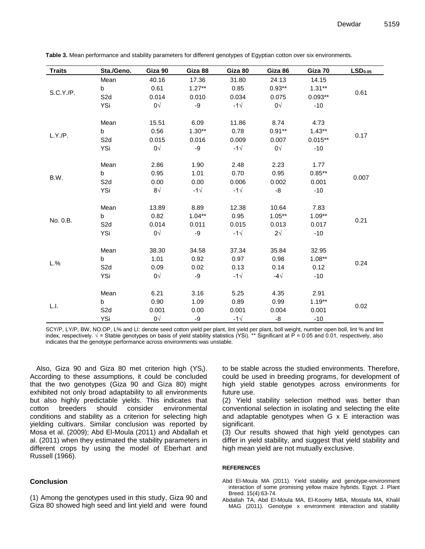| <b>Traits</b> | Sta./Geno.       | Giza 90      | Giza 88      | Giza 80      | Giza 86       | Giza 70   | LSD <sub>0.05</sub> |
|---------------|------------------|--------------|--------------|--------------|---------------|-----------|---------------------|
| S.C.Y./P.     | Mean             | 40.16        | 17.36        | 31.80        | 24.13         | 14.15     | 0.61                |
|               | b                | 0.61         | $1.27**$     | 0.85         | $0.93**$      | $1.31**$  |                     |
|               | S <sub>2</sub> d | 0.014        | 0.010        | 0.034        | 0.075         | $0.093**$ |                     |
|               | YSi              | $0\sqrt{ }$  | -9           | $-1\sqrt{ }$ | $0\sqrt{}$    | $-10$     |                     |
| L.Y./P.       | Mean             | 15.51        | 6.09         | 11.86        | 8.74          | 4.73      |                     |
|               | b                | 0.56         | $1.30**$     | 0.78         | $0.91**$      | $1.43**$  |                     |
|               | S <sub>2</sub> d | 0.015        | 0.016        | 0.009        | 0.007         | $0.015**$ | 0.17                |
|               |                  | $0\sqrt{ }$  |              | $-1\sqrt{ }$ | $0\sqrt{ }$   |           |                     |
|               | YSi              |              | -9           |              |               | $-10$     |                     |
|               | Mean             | 2.86         | 1.90         | 2.48         | 2.23          | 1.77      |                     |
|               | b                | 0.95         | 1.01         | 0.70         | 0.95          | $0.85***$ |                     |
| B.W.          | S <sub>2</sub> d | 0.00         | 0.00         | 0.006        | 0.002         | 0.001     | 0.007               |
|               | YSi              | 8 $\sqrt{ }$ | $-1\sqrt{ }$ | $-1\sqrt{ }$ | -8            | $-10$     |                     |
|               | Mean             | 13.89        | 8.89         | 12.38        | 10.64         | 7.83      | 0.21                |
|               | b                | 0.82         | $1.04**$     | 0.95         | $1.05***$     | $1.09**$  |                     |
| No. 0.B.      | S <sub>2</sub> d | 0.014        | 0.011        | 0.015        | 0.013         | 0.017     |                     |
|               | YSi              | $0\sqrt{ }$  | -9           | $-1\sqrt{ }$ | $2\sqrt{ }$   | $-10$     |                     |
|               |                  |              |              |              |               |           |                     |
| L.%           | Mean             | 38.30        | 34.58        | 37.34        | 35.84         | 32.95     | 0.24                |
|               | b                | 1.01         | 0.92         | 0.97         | 0.98          | $1.08***$ |                     |
|               | S <sub>2</sub> d | 0.09         | 0.02         | 0.13         | 0.14          | 0.12      |                     |
|               | YSi              | $0\sqrt{}$   | -9           | $-1\sqrt{ }$ | -4 $\sqrt{ }$ | $-10$     |                     |
|               | Mean             | 6.21         | 3.16         | 5.25         | 4.35          | 2.91      |                     |
| L.I.          | b                | 0.90         | 1.09         | 0.89         | 0.99          | $1.19**$  | 0.02                |
|               | S <sub>2</sub> d | 0.001        | 0.00         | 0.001        | 0.004         | 0.001     |                     |
|               | YSi              | $0\sqrt{}$   | -9           | $-1\sqrt{ }$ | -8            | $-10$     |                     |
|               |                  |              |              |              |               |           |                     |

**Table 3.** Mean performance and stability parameters for different genotypes of Egyptian cotton over six environments.

SCY/P, LY/P, BW, NO.OP, L% and LI: denote seed cotton yield per plant, lint yield per plant, boll weight, number open boll, lint % and lint index, respectively.  $\sqrt{ }$  = Stable genotypes on basis of yield stability statistics (YSi). \*\* Significant at P = 0.05 and 0.01, respectively, also indicates that the genotype performance across environments was unstable.

Also, Giza 90 and Giza 80 met criterion high  $(YS_i)$ . According to these assumptions, it could be concluded that the two genotypes (Giza 90 and Giza 80) might exhibited not only broad adaptability to all environments but also highly predictable yields. This indicates that cotton breeders should consider environmental conditions and stability as a criterion for selecting high yielding cultivars. Similar conclusion was reported by Mosa et al. (2009); Abd El-Moula (2011) and Abdallah et al. (2011) when they estimated the stability parameters in different crops by using the model of Eberhart and Russell (1966).

#### **Conclusion**

(1) Among the genotypes used in this study, Giza 90 and Giza 80 showed high seed and lint yield and were found

to be stable across the studied environments. Therefore, could be used in breeding programs, for development of high yield stable genotypes across environments for future use.

(2) Yield stability selection method was better than conventional selection in isolating and selecting the elite and adaptable genotypes when G x E interaction was significant.

(3) Our results showed that high yield genotypes can differ in yield stability, and suggest that yield stability and high mean yield are not mutually exclusive.

#### **REFERENCES**

- Abd El-Moula MA (2011). Yield stability and genotype-environment interaction of some promising yellow maize hybrids. Egypt. J. Plant Breed. 15(4):63-74.
- Abdallah TA, Abd El-Moula MA, El-Koomy MBA, Mostafa MA, Khalil MAG (2011). Genotype x environment interaction and stability